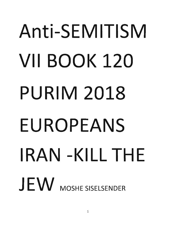# **Anti-SEMITISM VII BOOK 120 PURIM 2018 EUROPEANS IRAN -KILL THE**  JEW MOSHE SISELSENDER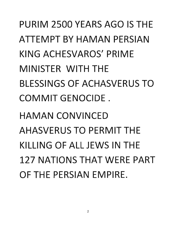PURIM 2500 YEARS AGO IS THE ATTEMPT BY HAMAN PERSIAN KING ACHESVAROS' PRIME MINISTER WITH THE BLESSINGS OF ACHASVERUS TO COMMIT GENOCIDE.

HAMAN CONVINCED AHASVERUS TO PERMIT THE KILLING OF ALL JEWS IN THE 127 NATIONS THAT WERE PART OF THE PERSIAN EMPIRE.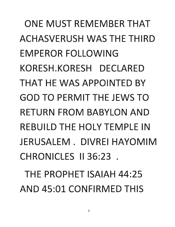ONE MUST REMEMBER THAT ACHASVERUSH WAS THE THIRD EMPEROR FOLLOWING KORESH.KORESH DECLARED THAT HE WAS APPOINTED BY GOD TO PERMIT THE JEWS TO RETURN FROM BABYLON AND REBUILD THE HOLY TEMPLE IN JERUSALEM. DIVREI HAYOMIM CHRONICLES 1136:23 .

THE PROPHET ISAIAH 44:25 AND 45:01 CONFIRMED THIS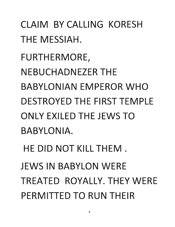CLAIM BY CALLING KORESH THE MESSIAH. FURTHERMORE, NEBUCHADNEZER THE BABYLONIAN EMPEROR WHO DESTROYED THE FIRST TEMPLE ONLY EXILED THE JEWS TO BABYLONIA. HE DID NOT KILL THEM. JEWS IN BABYLON WERE TREATED ROYALLY. THEY WERE PERMITTED TO RUN THEIR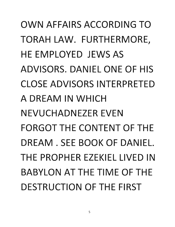OWN AFFAIRS ACCORDING TO TORAH LAW. FURTHERMORE, HE EMPLOYED JEWS AS ADVISORS. DANIEL ONE OF HIS CLOSE ADVISORS INTERPRETED A DREAM IN WHICH NEVUCHADNEZER EVEN FORGOT THE CONTENT OF THE DREAM. SEE BOOK OF DANIEL. THE PROPHER EZEKIEL LIVED IN BABYLON AT THE TIME OF THE DESTRUCTION OF THE FIRST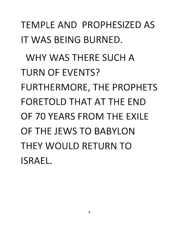TEMPLE AND PROPHESIZED AS IT WAS BEING BURNED. WHY WAS THERE SUCH A TURN OF EVENTS? FURTHERMORE, THE PROPHETS FORETOLD THAT AT THE END OF 70 YEARS FROM THE EXILE OF THE JEWS TO BABYLON THEY WOULD RETURN TO ISRAEL.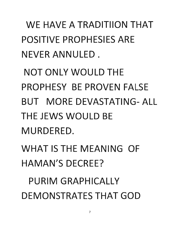WE HAVE A TRADITIION THAT POSITIVE PROPHESIES ARE NEVER ANNULED .

NOT ONLY WOULD THE PROPHESY BE PROVEN FALSE BUT MORE DEVASTATING- ALL THE JEWS WOULD BE MURDERED.

WHAT IS THE MEANING OF HAMAN'S DECREE?

PURIM GRAPHICALLY DEMONSTRATES THAT GOD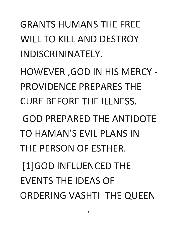GRANTS HUMANS THE FREE WILL TO KILL AND DESTROY IN DISCRININATELY. HOWEVER ,GOD IN HIS MERCY - PROVIDENCE PREPARES THE CURE BEFORE THE ILLNESS. GOD PREPARED THE ANTIDOTE TO HAMAN'S EVIL PLANS IN THE PERSON OF ESTHER. [l]GOD INFLUENCED THE EVENTS THE IDEAS OF ORDERING VASHTI THE QUEEN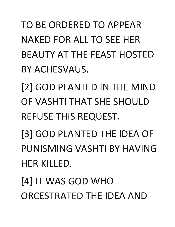TO BE ORDERED TO APPEAR NAKED FOR ALL TO SEE HER BEAUTY AT THE FEAST HOSTED BY ACHESVAUS.

[2] GOD PLANTED IN THE MIND OF VASHTI THAT SHE SHOULD REFUSE THIS REQUEST.

[3] GOD PLANTED THE IDEA OF PUNISMING VASHTI BY HAVING HER KILLED.

[4] IT WAS GOD WHO ORCESTRATED THE IDEA AND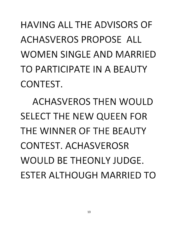HAVING ALL THE ADVISORS OF ACHASVEROS PROPOSE ALL WOMEN SINGLE AND MARRIED TO PARTICIPATE IN A BEAUTY CONTEST.

ACHASVEROS THEN WOULD SELECT THE NEW QUEEN FOR THE WINNER OF THE BEAUTY CONTEST. ACHASVEROSR WOULD BE THEONLY JUDGE. ESTER ALTHOUGH MARRIED TO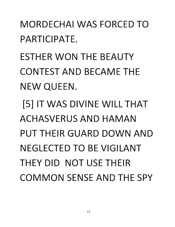### MORDECHAI WAS FORCED TO PARTICIPATE.

ESTHER WON THE BEAUTY CONTEST AND BECAME THE NEW QUEEN.

[5] IT WAS DIVINE WILL THAT ACHASVERUS AND HAMAN PUT THEIR GUARD DOWN AND NEGLECTED TO BE VIGILANT THEY DID NOT USE THEIR COMMON SENSE AND THE SPY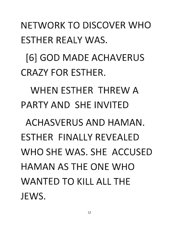#### NETWORK TO DISCOVER WHO ESTHER REALY WAS.

## [6] GOD MADE ACHAVERUS CRAZY FOR ESTHER.

## WHEN ESTHER THREW A PARTY AND SHE INVITED

ACHASVERUS AND HAMAN. ESTHER FINALLY REVEALED WHO SHE WAS. SHE ACCUSED HAMAN AS THE ONE WHO WANTED TO KILL ALL THE JEWS.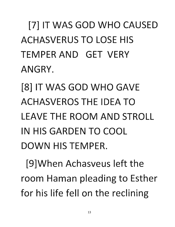[7] IT WAS GOD WHO CAUSED ACHASVERUS TO LOSE HIS TEMPER AND GET VERY ANGRY.

[8] IT WAS GOD WHO GAVE ACHASVEROS THE IDEA TO LEAVE THE ROOM AND STROLL IN HIS GARDEN TO COOL DOWN HIS TEMPER.

[9]When Achasveus left the room Haman pleading to Esther for his life fell on the reclining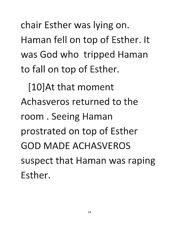chair Esther was lying on. Haman fell on top of Esther. It was God who tripped Haman to fall on top of Esther.

[10]At that moment Achasveros returned to the room. Seeing Haman prostrated on top of Esther GOD MADE ACHASVEROS suspect that Haman was raping Esther.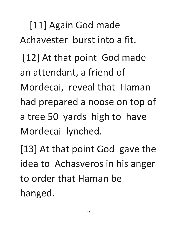[11] Again God made Achavester burst into a fit.

[12] At that point God made an attendant, a friend of Mordecai, reveal that Haman had prepared a noose on top of a tree 50 yards high to have Mordecai lynched.

[13] At that point God gave the idea to Achasveros in his anger to order that Haman be hanged.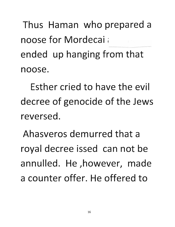Thus Haman who prepared a noose for Mordecai: --- ended up hanging from that noose.

Esther cried to have the evil decree of genocide of the Jews reversed.

Ahasveros demurred that a royal decree issed can not be annulled. He ,however, made a counter offer. He offered to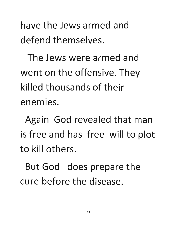**have the Jews armed and defend themselves.** 

**The Jews were armed and**  went on the offensive. They **killed thousands of their**  • **enemies.** 

**Again God revealed that man**  is free and has free will to plot **to kill others.** 

**But God does prepare the cure before the disease.**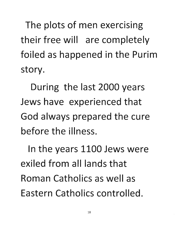The plots of men exercising their free will are completely foiled as happened in the Purim story.

During the last 2000 years Jews have experienced that God always prepared the cure before the illness.

In the years 1100 Jews were exiled from all lands that Roman Catholics as well as Eastern Catholics controlled.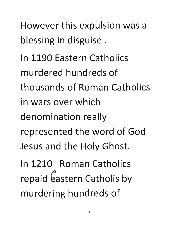However this expulsion was a blessing in disguise.

**In 1190 Eastern Catholics murdered hundreds of thousands of Roman Catholics in wars over which**  denomination really **represented the word of God**  Jesus and the Holy Ghost.

**In 1210 Roman Catholics**  repaid eastern Catholis by murdering hundreds of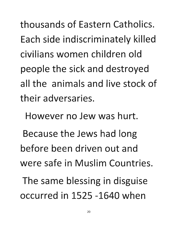**thousands of Eastern Catholics.**  Each side indiscriminately killed **civilians women children old**  people the sick and destroyed **all the animals and live stock of**  their adversaries.

**However no Jew was hurt.** 

Because the Jews had long **before been driven out and were safe in Muslim Countries.** 

The same blessing in disguise **occurred in 1525 -1640 when**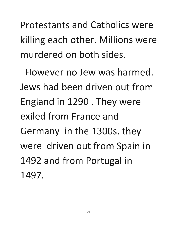**Protestants and Catholics were**  killing each other. Millions were **murdered on both sides.** 

**However no Jew was harmed. Jews had been driven out from**  England in 1290 . They were **exiled from France and**  Germany in the 13005. they were driven out from Spain in 1492 and from Portugal in **1497.**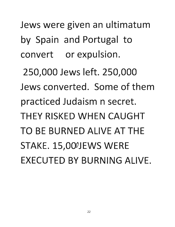Jews were given an ultimatum by Spain and Portugal to convert or expulsion. 250,000 Jews left. 250,000 Jews converted. Some of them practiced Judaism n secret. THEY RISKED WHEN CAUGHT TO BE BURNED ALIVE AT THE STAKE. 15,000JEWS WERE EXECUTED BY BURNING ALIVE.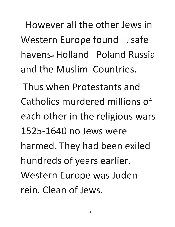**However all the other Jews in**  Western Europe found / safe havens~ **Holland Poland Russia and the Muslim Countries.** 

**Thus when Protestants and Catholics murdered millions of**  each other in the religious wars **1525-1640 no Jews were**  harmed. They had been exiled hundreds of years earlier. **Western Europe was Juden rein. Clean of Jews.**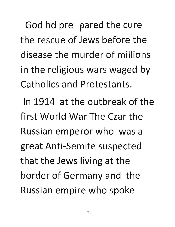God hd pre pared the cure **the rescue of Jews before the disease the murder of millions**  in the religious wars waged by **Catholics and Protestants.** 

**In 1914 at the outbreak of the first World War The Czar the Russian emperor who was a great Anti-Semite suspected**  that the Jews living at the border of Germany and the **Russian empire who spoke**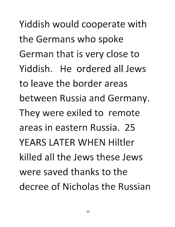Yiddish would cooperate with the Germans who spoke German that is very close to Yiddish. He ordered all Jews to leave the border areas between Russia and Germany. They were exiled to remote areas in eastern Russia. 25 YEARS LATER WHEN Hiltler killed all the Jews these Jews were saved thanks to the decree of Nicholas the Russian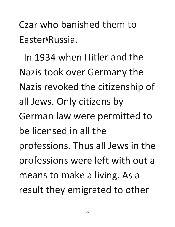Czar who banished them to Easter Russia.

In 1934 when Hitler and the Nazis took over Germany the Nazis revoked the citizenship of all Jews. Only citizens by German law were permitted to be licensed in all the professions. Thus all Jews in the professions were left with out a means to make a living. As a result they emigrated to other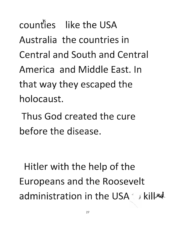counties like the USA Australia the countries in Central and South and Central America and Middle East. In that way they escaped the holocaust.

Thus God created the cure before the disease.

Hitler with the help of the Europeans and the Roosevelt administration in the USA in kill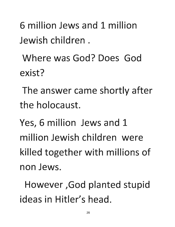6 million Jews and 1 million Jewish children.

Where was God? Does God exist?

The answer came shortly after the holocaust.

Yes, 6 million Jews and 1 million Jewish children were killed together with millions of non Jews.

However ,God planted stupid ideas in Hitler's head.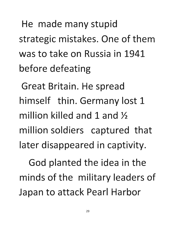He made many stupid strategic mistakes. One of them **was to take on Russia in 1941**  before defeating

**Great Britain. He spread himself thin. Germany lost 1**  million killed and 1 and <sup>1/2</sup> million soldiers captured that later disappeared in captivity.

God planted the idea in the **minds of the military leaders of**  Japan to attack Pearl Harbor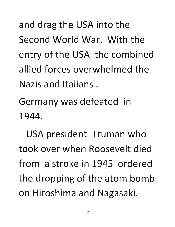and drag the USA into the **Second World War. With the**  entry of the USA the combined **allied forces overwhelmed the Nazis and Italians.** 

Germany was defeated in **1944.** 

USA president Truman who **took over when Roosevelt died from a stroke in 1945 ordered**  the dropping of the atom bomb on Hiroshima and Nagasaki.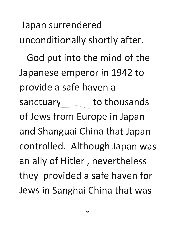Japan surrendered unconditionally shortly after. God put into the mind of the **Japanese emperor in 1942 to**  provide a safe haven a sanctuary external to thousands **of Jews from Europe in Japan**  and Shanguai China that Japan controlled. Although Japan was **an ally of Hitler I nevertheless**  they provided a safe haven for **Jews in Sanghai China that was**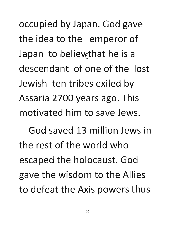occupied by Japan. God gave the idea to the emperor of Japan to believe that he is a **descendant of one of the lost**  Jewish ten tribes exiled by **Assaria 2700 years ago. This motivated him to save Jews.** 

**God saved 13 million Jews in the rest of the world who**  escaped the holocaust. God gave the wisdom to the Allies **to defeat the Axis powers thus**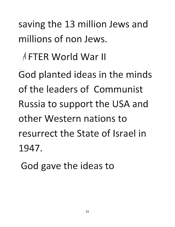saving the 13 million Jews and **millions of non Jews.** 

<sup>~</sup>**FTER World War II** 

 $\overline{\phantom{0}}$ **God planted ideas in the minds of the leaders of Communist**  Russia to support the USA and **other Western nations to resurrect the State of Israel in 1947.** 

God gave the ideas to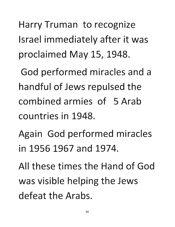**Harry Truman to recognize**  Israel immediately after it was proclaimed May 15, 1948.

God performed miracles and a **handful of Jews repulsed the combined armies of 5 Arab countries in 1948.** 

Again God performed miracles **in 1956** .1967 **and 1974.** 

**All these times the Hand of God**  was visible helping the Jews **defeat the Arabs.**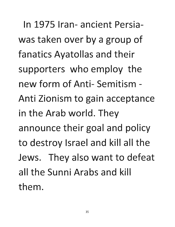**In 1975 Iran- ancient Persia**was taken over by a group of **fanatics Ayatollas and their**  supporters who employ the **new form of Anti- Semitism - Anti Zionism to gain acceptance in the Arab world. They**  announce their goal and policy to destroy Israel and kill all the Jews. They also want to defeat **all the Sunni Arabs and kill them.**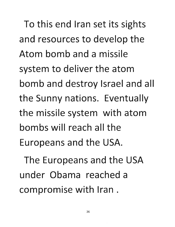To this end Iran set its sights **and resources to develop the Atom bomb and a missile**  system to deliver the atom **bomb and destroy Israel and all the Sunny nations. Eventually the missile system with atom bombs will reach all the**  Europeans and the USA.

The Europeans and the USA **under Obama reached a compromise with Iran.**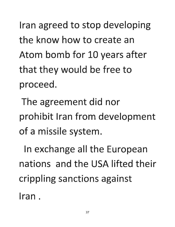Iran agreed to stop developing **the know how to create an**  Atom bomb for 10 years after that they would be free to **proceed.** 

The agreement did nor prohibit Iran from development of a missile system.

In exchange all the European **nations and the** USA **lifted their**  crippling sanctions against **Iran.**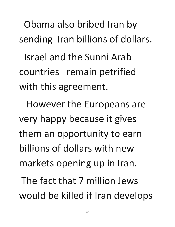Obama also bribed Iran by sending Iran billions of dollars.

**Israel and the Sunni Arab**  countries remain petrified with this agreement.

**However the Europeans are**  very happy because it gives **them an opportunity to earn billions of dollars with new**  markets opening up in Iran.

**The fact that 7 million Jews would be killed if Iran develops**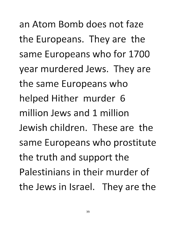**an Atom Bomb does not faze**  the Europeans. They are the same Europeans who for 1700 year murdered Jews. They are the same Europeans who **helped Hither murder 6 million Jews and 1 million Jewish children. These are the**  same Europeans who prostitute the truth and support the **Palestinians in their murder of the Jews in Israel. They are the**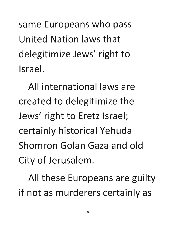same Europeans who pass **United Nation laws that**  delegitimize Jews' right to **Israel.** 

**All international laws are created to delegitimize the Jews' right to Eretz Israel;**  certainly historical Yehuda **Shomron Golan Gaza and old**  City of Jerusalem.

**All these Europeans are guilty**  if not as murderers certainly as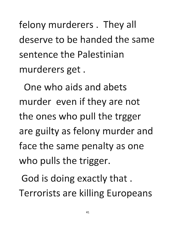felony murderers. They all **deserve to be handed the same sentence the Palestinian**  murderers get.

**One who aids and abets**  murder even if they are not **the ones who pull the trgger**  are guilty as felony murder and face the same penalty as one who pulls the trigger.

God is doing exactly that. Terrorists are killing Europeans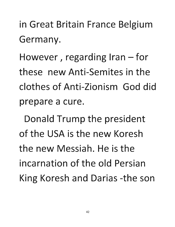in Great Britain France Belgium Germany.

However, regarding Iran  $-$  for these new Anti-Semites in the clothes of Anti-Zionism God did prepare a cure.

Donald Trump the president of the USA is the new Koresh the new Messiah. He is the incarnation of the old Persian King Koresh and Darias -the son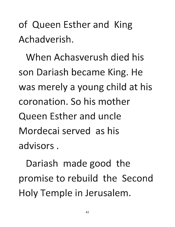of Queen Esther and King Achadverish.

When Achasverush died his son Dariash became King. He was merely a young child at his coronation. So his mother Queen Esther and uncle Mordecai served as his advisors.

Dariash made good the promise to rebuild the Second Holy Temple in Jerusalem.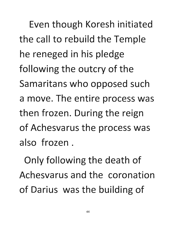Even though Koresh initiated the call to rebuild the Temple he reneged in his pledge following the outcry of the Samaritans who opposed such **a move. The entire process was**  then frozen. During the reign of Achesvarus the process was **also frozen.** 

Only following the death of **Achesvarus and the coronation**  of Darius was the building of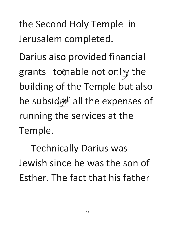**the Second Holy Temple in**  Jerusalem completed.

Darius also provided financial grants to nable not only the building of the Temple but also he subsid  $\frac{1}{2}$  all the expenses of **running the services at the**  Temple.

**Technically Darius was Jewish since he was the son of Esther. The fact that his father**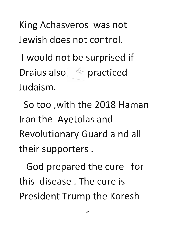King Achasveros was not Jewish does not control.

I would not be surprised if Draius also **and also practiced**<br>Judaism.

So too ,with the 2018 Haman Iran the Ayetolas and Revolutionary Guard a nd all their supporters.

God prepared the cure for this disease. The cure is President Trump the Koresh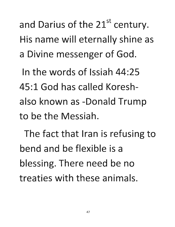and Darius of the 21<sup>st</sup> century. His name will eternally shine as a Divine messenger of God.

**In the words of Issiah 44:25 45:1 God has called Koresh**also known as -Donald Trump **to be the Messiah.** 

The fact that Iran is refusing to **bend and be flexible is a**  blessing. There need be no **treaties with these animals.**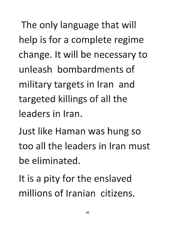The only language that will help is for a complete regime change. It will be necessary to **unleash bombardments of military targets in Iran and targeted killings of all the leaders in Iran.** 

Just like Haman was hung so **too all the leaders in Iran must be eliminated.** 

It is a pity for the enslaved **millions of Iranian citizens.**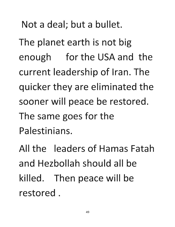**Not a deal; but a bullet.** 

**The planet earth is not big**  enough for the USA and the current leadership of Iran. The **quicker they are eliminated the**  sooner will peace be restored. **The same goes for the Palestinians.** 

**All the leaders of Hamas Fatah and Hezbollah should all be**  killed. Then peace will be **restored.**